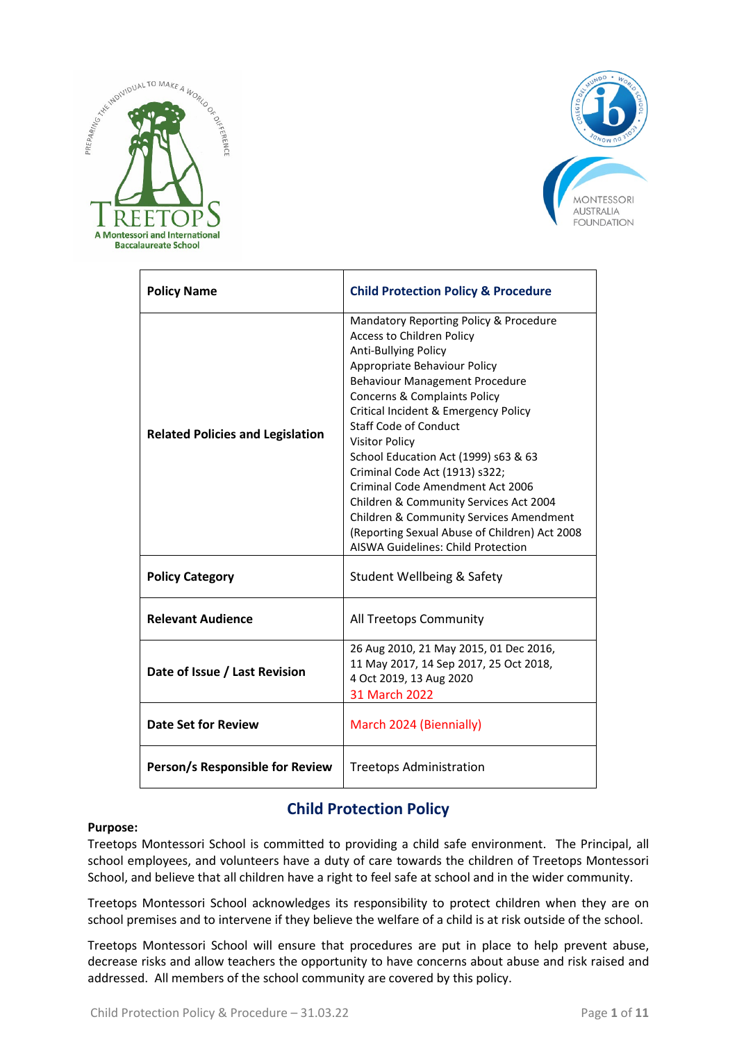



| <b>Policy Name</b>                      | <b>Child Protection Policy &amp; Procedure</b>                                                                                                                                                                                                                                                                                                                                                                                                                                                                                                                                                  |
|-----------------------------------------|-------------------------------------------------------------------------------------------------------------------------------------------------------------------------------------------------------------------------------------------------------------------------------------------------------------------------------------------------------------------------------------------------------------------------------------------------------------------------------------------------------------------------------------------------------------------------------------------------|
| <b>Related Policies and Legislation</b> | Mandatory Reporting Policy & Procedure<br>Access to Children Policy<br>Anti-Bullying Policy<br>Appropriate Behaviour Policy<br><b>Behaviour Management Procedure</b><br>Concerns & Complaints Policy<br>Critical Incident & Emergency Policy<br><b>Staff Code of Conduct</b><br><b>Visitor Policy</b><br>School Education Act (1999) s63 & 63<br>Criminal Code Act (1913) s322;<br>Criminal Code Amendment Act 2006<br>Children & Community Services Act 2004<br>Children & Community Services Amendment<br>(Reporting Sexual Abuse of Children) Act 2008<br>AISWA Guidelines: Child Protection |
| <b>Policy Category</b>                  | <b>Student Wellbeing &amp; Safety</b>                                                                                                                                                                                                                                                                                                                                                                                                                                                                                                                                                           |
| <b>Relevant Audience</b>                | All Treetops Community                                                                                                                                                                                                                                                                                                                                                                                                                                                                                                                                                                          |
| Date of Issue / Last Revision           | 26 Aug 2010, 21 May 2015, 01 Dec 2016,<br>11 May 2017, 14 Sep 2017, 25 Oct 2018,<br>4 Oct 2019, 13 Aug 2020<br>31 March 2022                                                                                                                                                                                                                                                                                                                                                                                                                                                                    |
| Date Set for Review                     | March 2024 (Biennially)                                                                                                                                                                                                                                                                                                                                                                                                                                                                                                                                                                         |
| Person/s Responsible for Review         | <b>Treetops Administration</b>                                                                                                                                                                                                                                                                                                                                                                                                                                                                                                                                                                  |

# **Child Protection Policy**

#### **Purpose:**

Treetops Montessori School is committed to providing a child safe environment. The Principal, all school employees, and volunteers have a duty of care towards the children of Treetops Montessori School, and believe that all children have a right to feel safe at school and in the wider community.

Treetops Montessori School acknowledges its responsibility to protect children when they are on school premises and to intervene if they believe the welfare of a child is at risk outside of the school.

Treetops Montessori School will ensure that procedures are put in place to help prevent abuse, decrease risks and allow teachers the opportunity to have concerns about abuse and risk raised and addressed. All members of the school community are covered by this policy.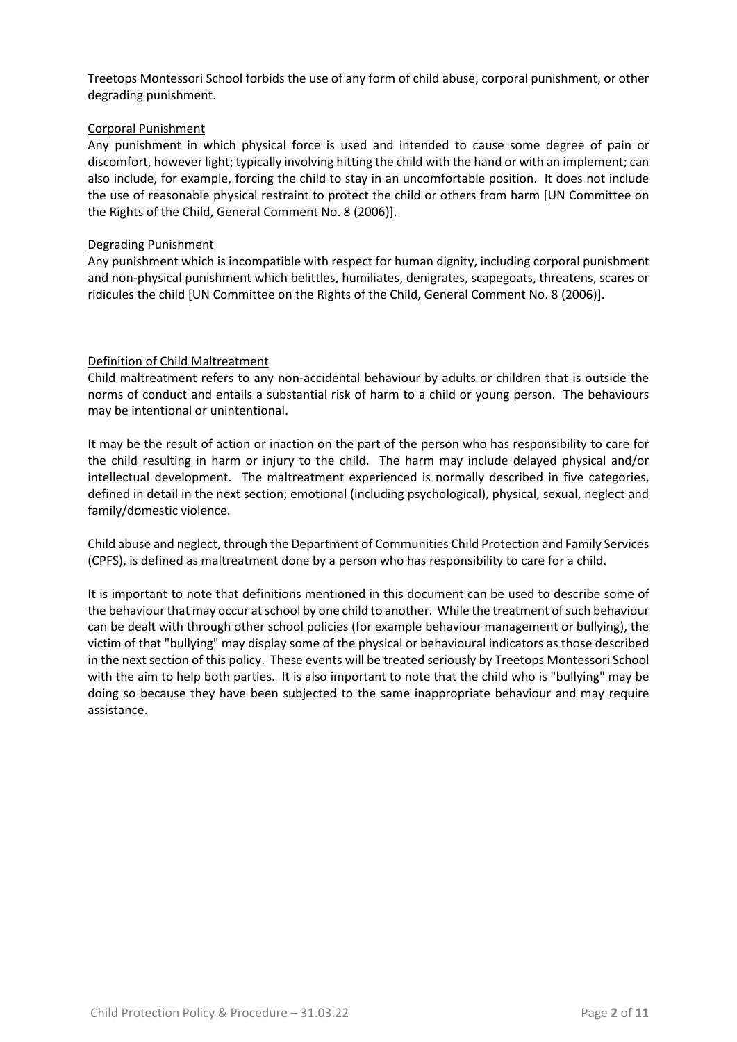Treetops Montessori School forbids the use of any form of child abuse, corporal punishment, or other degrading punishment.

#### Corporal Punishment

Any punishment in which physical force is used and intended to cause some degree of pain or discomfort, however light; typically involving hitting the child with the hand or with an implement; can also include, for example, forcing the child to stay in an uncomfortable position. It does not include the use of reasonable physical restraint to protect the child or others from harm [UN Committee on the Rights of the Child, General Comment No. 8 (2006)].

## Degrading Punishment

Any punishment which is incompatible with respect for human dignity, including corporal punishment and non-physical punishment which belittles, humiliates, denigrates, scapegoats, threatens, scares or ridicules the child [UN Committee on the Rights of the Child, General Comment No. 8 (2006)].

## Definition of Child Maltreatment

Child maltreatment refers to any non-accidental behaviour by adults or children that is outside the norms of conduct and entails a substantial risk of harm to a child or young person. The behaviours may be intentional or unintentional.

It may be the result of action or inaction on the part of the person who has responsibility to care for the child resulting in harm or injury to the child. The harm may include delayed physical and/or intellectual development. The maltreatment experienced is normally described in five categories, defined in detail in the next section; emotional (including psychological), physical, sexual, neglect and family/domestic violence.

Child abuse and neglect, through the Department of Communities Child Protection and Family Services (CPFS), is defined as maltreatment done by a person who has responsibility to care for a child.

It is important to note that definitions mentioned in this document can be used to describe some of the behaviour that may occur at school by one child to another. While the treatment of such behaviour can be dealt with through other school policies (for example behaviour management or bullying), the victim of that "bullying" may display some of the physical or behavioural indicators as those described in the next section of this policy. These events will be treated seriously by Treetops Montessori School with the aim to help both parties. It is also important to note that the child who is "bullying" may be doing so because they have been subjected to the same inappropriate behaviour and may require assistance.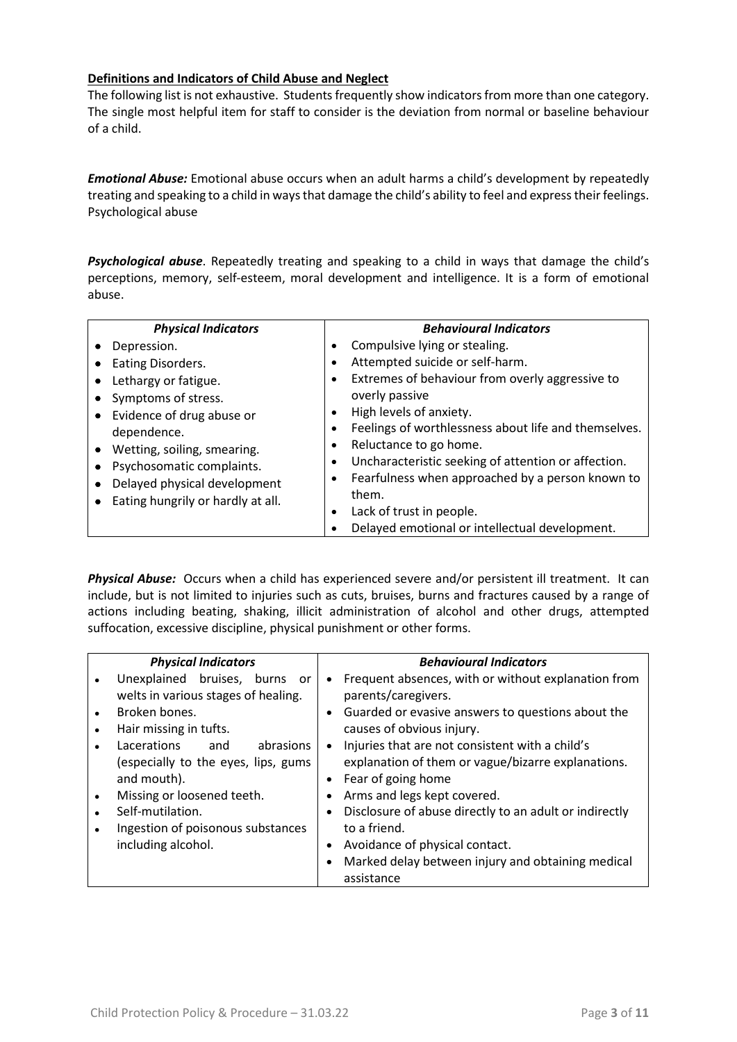## **Definitions and Indicators of Child Abuse and Neglect**

The following list is not exhaustive. Students frequently show indicators from more than one category. The single most helpful item for staff to consider is the deviation from normal or baseline behaviour of a child.

*Emotional Abuse:* Emotional abuse occurs when an adult harms a child's development by repeatedly treating and speaking to a child in ways that damage the child's ability to feel and express their feelings. Psychological abuse

*Psychological abuse*. Repeatedly treating and speaking to a child in ways that damage the child's perceptions, memory, self-esteem, moral development and intelligence. It is a form of emotional abuse.

| <b>Physical Indicators</b>                                                                                                                                                                           | <b>Behavioural Indicators</b>                                                                                                                                                                                                                                                                             |
|------------------------------------------------------------------------------------------------------------------------------------------------------------------------------------------------------|-----------------------------------------------------------------------------------------------------------------------------------------------------------------------------------------------------------------------------------------------------------------------------------------------------------|
| Depression.<br>Eating Disorders.<br>Lethargy or fatigue.<br>Symptoms of stress.<br>Evidence of drug abuse or<br>dependence.<br>Wetting, soiling, smearing.<br>$\bullet$<br>Psychosomatic complaints. | Compulsive lying or stealing.<br>Attempted suicide or self-harm.<br>Extremes of behaviour from overly aggressive to<br>overly passive<br>High levels of anxiety.<br>Feelings of worthlessness about life and themselves.<br>Reluctance to go home.<br>Uncharacteristic seeking of attention or affection. |
| Delayed physical development                                                                                                                                                                         | Fearfulness when approached by a person known to<br>them.                                                                                                                                                                                                                                                 |
| Eating hungrily or hardly at all.                                                                                                                                                                    | Lack of trust in people.<br>Delayed emotional or intellectual development.                                                                                                                                                                                                                                |

*Physical Abuse:* Occurs when a child has experienced severe and/or persistent ill treatment. It can include, but is not limited to injuries such as cuts, bruises, burns and fractures caused by a range of actions including beating, shaking, illicit administration of alcohol and other drugs, attempted suffocation, excessive discipline, physical punishment or other forms.

| <b>Physical Indicators</b>          |           | <b>Behavioural Indicators</b>                          |
|-------------------------------------|-----------|--------------------------------------------------------|
| Unexplained bruises, burns or       | $\bullet$ | Frequent absences, with or without explanation from    |
| welts in various stages of healing. |           | parents/caregivers.                                    |
| Broken bones.                       | $\bullet$ | Guarded or evasive answers to questions about the      |
| Hair missing in tufts.              |           | causes of obvious injury.                              |
| abrasions<br>Lacerations<br>and     | $\bullet$ | Injuries that are not consistent with a child's        |
| (especially to the eyes, lips, gums |           | explanation of them or vague/bizarre explanations.     |
| and mouth).                         | $\bullet$ | Fear of going home                                     |
| Missing or loosened teeth.          |           | Arms and legs kept covered.                            |
| Self-mutilation.                    |           | Disclosure of abuse directly to an adult or indirectly |
| Ingestion of poisonous substances   |           | to a friend.                                           |
| including alcohol.                  | ٠         | Avoidance of physical contact.                         |
|                                     |           | Marked delay between injury and obtaining medical      |
|                                     |           | assistance                                             |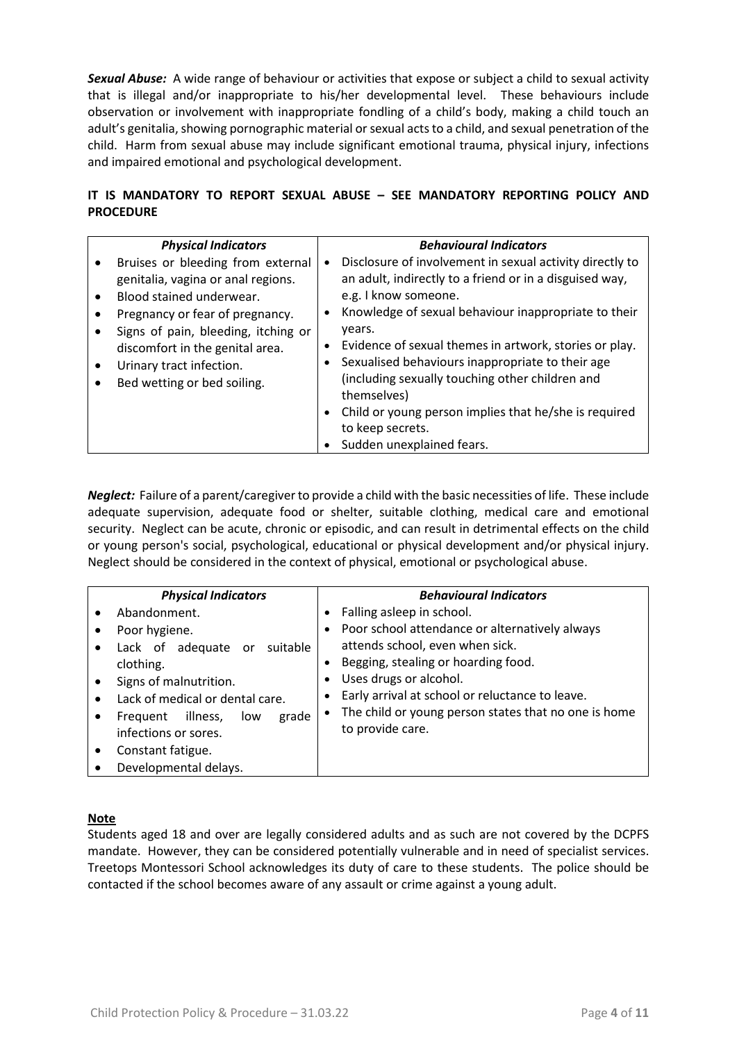*Sexual Abuse:* A wide range of behaviour or activities that expose or subject a child to sexual activity that is illegal and/or inappropriate to his/her developmental level. These behaviours include observation or involvement with inappropriate fondling of a child's body, making a child touch an adult's genitalia, showing pornographic material or sexual acts to a child, and sexual penetration of the child. Harm from sexual abuse may include significant emotional trauma, physical injury, infections and impaired emotional and psychological development.

## **IT IS MANDATORY TO REPORT SEXUAL ABUSE – SEE MANDATORY REPORTING POLICY AND PROCEDURE**

| <b>Physical Indicators</b><br>Bruises or bleeding from external<br>$\bullet$<br>genitalia, vagina or anal regions.<br>Blood stained underwear.<br>Pregnancy or fear of pregnancy.<br>Signs of pain, bleeding, itching or<br>discomfort in the genital area.<br>Urinary tract infection.<br>$\bullet$<br>Bed wetting or bed soiling. | <b>Behavioural Indicators</b><br>Disclosure of involvement in sexual activity directly to<br>an adult, indirectly to a friend or in a disguised way,<br>e.g. I know someone.<br>Knowledge of sexual behaviour inappropriate to their<br>years.<br>Evidence of sexual themes in artwork, stories or play.<br>Sexualised behaviours inappropriate to their age<br>(including sexually touching other children and<br>themselves)<br>Child or young person implies that he/she is required<br>to keep secrets.<br>Sudden unexplained fears. |
|-------------------------------------------------------------------------------------------------------------------------------------------------------------------------------------------------------------------------------------------------------------------------------------------------------------------------------------|------------------------------------------------------------------------------------------------------------------------------------------------------------------------------------------------------------------------------------------------------------------------------------------------------------------------------------------------------------------------------------------------------------------------------------------------------------------------------------------------------------------------------------------|
|-------------------------------------------------------------------------------------------------------------------------------------------------------------------------------------------------------------------------------------------------------------------------------------------------------------------------------------|------------------------------------------------------------------------------------------------------------------------------------------------------------------------------------------------------------------------------------------------------------------------------------------------------------------------------------------------------------------------------------------------------------------------------------------------------------------------------------------------------------------------------------------|

*Neglect:* Failure of a parent/caregiver to provide a child with the basic necessities of life. These include adequate supervision, adequate food or shelter, suitable clothing, medical care and emotional security. Neglect can be acute, chronic or episodic, and can result in detrimental effects on the child or young person's social, psychological, educational or physical development and/or physical injury. Neglect should be considered in the context of physical, emotional or psychological abuse.

|                | <b>Physical Indicators</b>                                                                                                                                                                                                                               | <b>Behavioural Indicators</b>                                                                                                                                                                                                                                                                                                            |
|----------------|----------------------------------------------------------------------------------------------------------------------------------------------------------------------------------------------------------------------------------------------------------|------------------------------------------------------------------------------------------------------------------------------------------------------------------------------------------------------------------------------------------------------------------------------------------------------------------------------------------|
| ٠<br>$\bullet$ | Abandonment.<br>Poor hygiene.<br>suitable<br>Lack of adequate or<br>clothing.<br>Signs of malnutrition.<br>Lack of medical or dental care.<br>illness,<br>Frequent<br>grade<br>low<br>infections or sores.<br>Constant fatigue.<br>Developmental delays. | Falling asleep in school.<br>Poor school attendance or alternatively always<br>$\bullet$<br>attends school, even when sick.<br>Begging, stealing or hoarding food.<br>Uses drugs or alcohol.<br>$\bullet$<br>Early arrival at school or reluctance to leave.<br>The child or young person states that no one is home<br>to provide care. |

## **Note**

Students aged 18 and over are legally considered adults and as such are not covered by the DCPFS mandate. However, they can be considered potentially vulnerable and in need of specialist services. Treetops Montessori School acknowledges its duty of care to these students. The police should be contacted if the school becomes aware of any assault or crime against a young adult.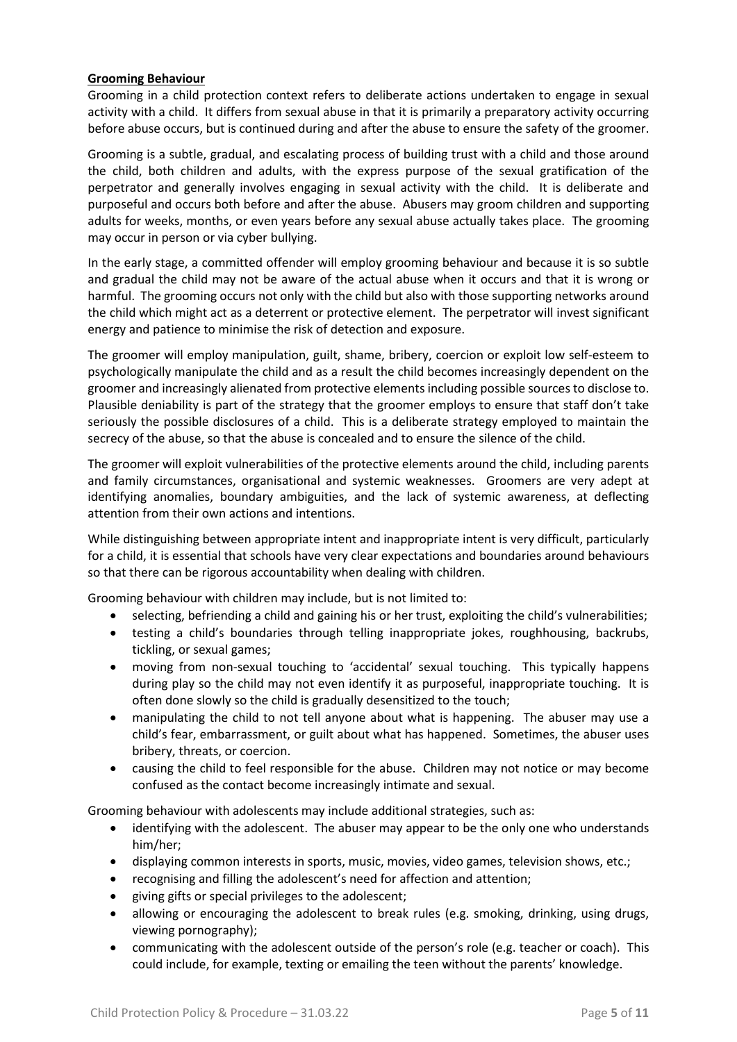## **Grooming Behaviour**

Grooming in a child protection context refers to deliberate actions undertaken to engage in sexual activity with a child. It differs from sexual abuse in that it is primarily a preparatory activity occurring before abuse occurs, but is continued during and after the abuse to ensure the safety of the groomer.

Grooming is a subtle, gradual, and escalating process of building trust with a child and those around the child, both children and adults, with the express purpose of the sexual gratification of the perpetrator and generally involves engaging in sexual activity with the child. It is deliberate and purposeful and occurs both before and after the abuse. Abusers may groom children and supporting adults for weeks, months, or even years before any sexual abuse actually takes place. The grooming may occur in person or via cyber bullying.

In the early stage, a committed offender will employ grooming behaviour and because it is so subtle and gradual the child may not be aware of the actual abuse when it occurs and that it is wrong or harmful. The grooming occurs not only with the child but also with those supporting networks around the child which might act as a deterrent or protective element. The perpetrator will invest significant energy and patience to minimise the risk of detection and exposure.

The groomer will employ manipulation, guilt, shame, bribery, coercion or exploit low self-esteem to psychologically manipulate the child and as a result the child becomes increasingly dependent on the groomer and increasingly alienated from protective elements including possible sources to disclose to. Plausible deniability is part of the strategy that the groomer employs to ensure that staff don't take seriously the possible disclosures of a child. This is a deliberate strategy employed to maintain the secrecy of the abuse, so that the abuse is concealed and to ensure the silence of the child.

The groomer will exploit vulnerabilities of the protective elements around the child, including parents and family circumstances, organisational and systemic weaknesses. Groomers are very adept at identifying anomalies, boundary ambiguities, and the lack of systemic awareness, at deflecting attention from their own actions and intentions.

While distinguishing between appropriate intent and inappropriate intent is very difficult, particularly for a child, it is essential that schools have very clear expectations and boundaries around behaviours so that there can be rigorous accountability when dealing with children.

Grooming behaviour with children may include, but is not limited to:

- selecting, befriending a child and gaining his or her trust, exploiting the child's vulnerabilities;
- testing a child's boundaries through telling inappropriate jokes, roughhousing, backrubs, tickling, or sexual games;
- moving from non-sexual touching to 'accidental' sexual touching. This typically happens during play so the child may not even identify it as purposeful, inappropriate touching. It is often done slowly so the child is gradually desensitized to the touch;
- manipulating the child to not tell anyone about what is happening. The abuser may use a child's fear, embarrassment, or guilt about what has happened. Sometimes, the abuser uses bribery, threats, or coercion.
- causing the child to feel responsible for the abuse. Children may not notice or may become confused as the contact become increasingly intimate and sexual.

Grooming behaviour with adolescents may include additional strategies, such as:

- identifying with the adolescent. The abuser may appear to be the only one who understands him/her;
- displaying common interests in sports, music, movies, video games, television shows, etc.;
- recognising and filling the adolescent's need for affection and attention;
- giving gifts or special privileges to the adolescent;
- allowing or encouraging the adolescent to break rules (e.g. smoking, drinking, using drugs, viewing pornography);
- communicating with the adolescent outside of the person's role (e.g. teacher or coach). This could include, for example, texting or emailing the teen without the parents' knowledge.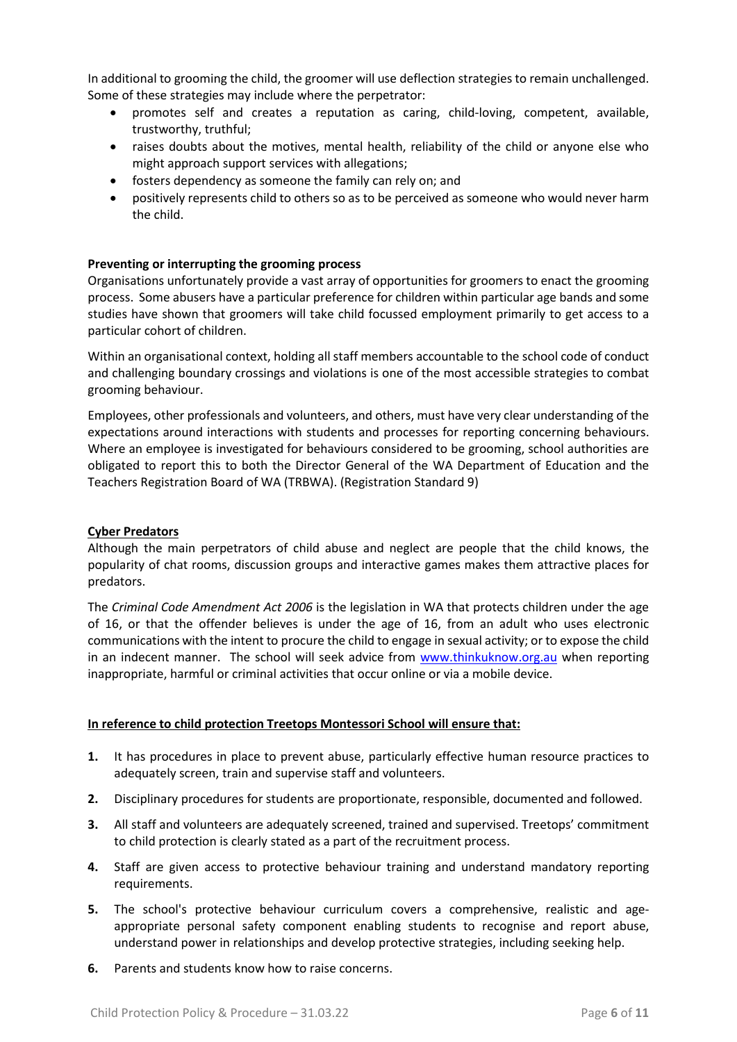In additional to grooming the child, the groomer will use deflection strategies to remain unchallenged. Some of these strategies may include where the perpetrator:

- promotes self and creates a reputation as caring, child-loving, competent, available, trustworthy, truthful;
- raises doubts about the motives, mental health, reliability of the child or anyone else who might approach support services with allegations;
- fosters dependency as someone the family can rely on; and
- positively represents child to others so as to be perceived as someone who would never harm the child.

#### **Preventing or interrupting the grooming process**

Organisations unfortunately provide a vast array of opportunities for groomers to enact the grooming process. Some abusers have a particular preference for children within particular age bands and some studies have shown that groomers will take child focussed employment primarily to get access to a particular cohort of children.

Within an organisational context, holding all staff members accountable to the school code of conduct and challenging boundary crossings and violations is one of the most accessible strategies to combat grooming behaviour.

Employees, other professionals and volunteers, and others, must have very clear understanding of the expectations around interactions with students and processes for reporting concerning behaviours. Where an employee is investigated for behaviours considered to be grooming, school authorities are obligated to report this to both the Director General of the WA Department of Education and the Teachers Registration Board of WA (TRBWA). (Registration Standard 9)

#### **Cyber Predators**

Although the main perpetrators of child abuse and neglect are people that the child knows, the popularity of chat rooms, discussion groups and interactive games makes them attractive places for predators.

The *Criminal Code Amendment Act 2006* is the legislation in WA that protects children under the age of 16, or that the offender believes is under the age of 16, from an adult who uses electronic communications with the intent to procure the child to engage in sexual activity; or to expose the child in an indecent manner. The school will seek advice from [www.thinkuknow.org.au](http://www.thinkuknow.org.au/) when reporting inappropriate, harmful or criminal activities that occur online or via a mobile device.

#### **In reference to child protection Treetops Montessori School will ensure that:**

- **1.** It has procedures in place to prevent abuse, particularly effective human resource practices to adequately screen, train and supervise staff and volunteers.
- **2.** Disciplinary procedures for students are proportionate, responsible, documented and followed.
- **3.** All staff and volunteers are adequately screened, trained and supervised. Treetops' commitment to child protection is clearly stated as a part of the recruitment process.
- **4.** Staff are given access to protective behaviour training and understand mandatory reporting requirements.
- **5.** The school's protective behaviour curriculum covers a comprehensive, realistic and ageappropriate personal safety component enabling students to recognise and report abuse, understand power in relationships and develop protective strategies, including seeking help.
- **6.** Parents and students know how to raise concerns.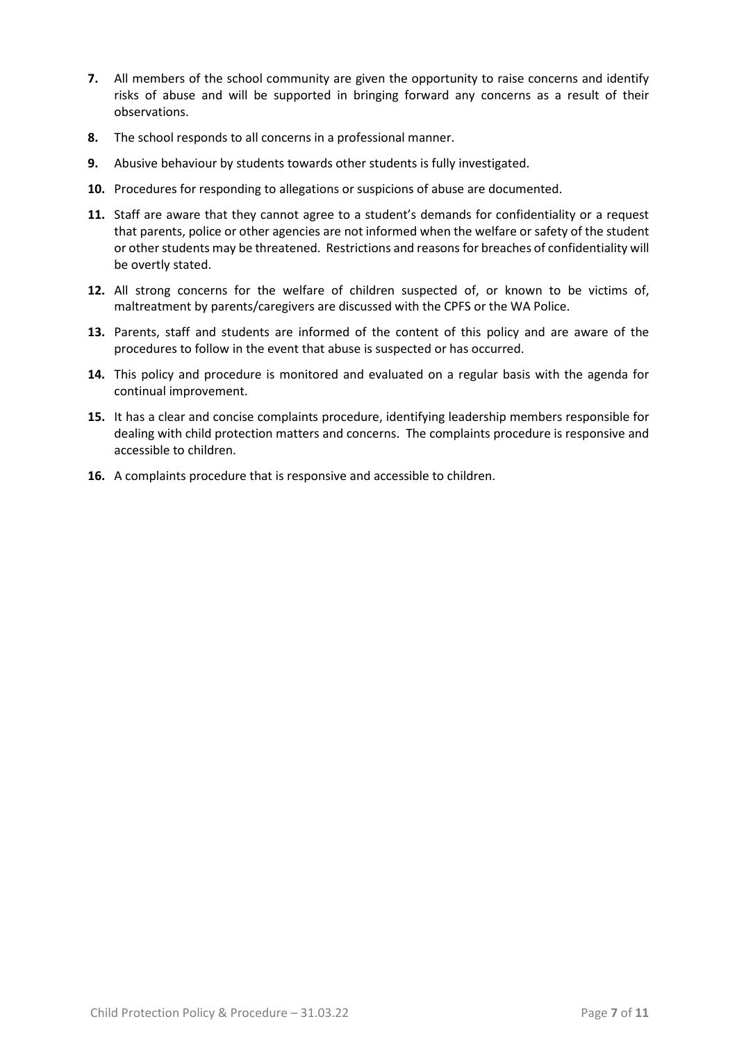- **7.** All members of the school community are given the opportunity to raise concerns and identify risks of abuse and will be supported in bringing forward any concerns as a result of their observations.
- **8.** The school responds to all concerns in a professional manner.
- **9.** Abusive behaviour by students towards other students is fully investigated.
- **10.** Procedures for responding to allegations or suspicions of abuse are documented.
- **11.** Staff are aware that they cannot agree to a student's demands for confidentiality or a request that parents, police or other agencies are not informed when the welfare or safety of the student or other students may be threatened. Restrictions and reasons for breaches of confidentiality will be overtly stated.
- **12.** All strong concerns for the welfare of children suspected of, or known to be victims of, maltreatment by parents/caregivers are discussed with the CPFS or the WA Police.
- **13.** Parents, staff and students are informed of the content of this policy and are aware of the procedures to follow in the event that abuse is suspected or has occurred.
- **14.** This policy and procedure is monitored and evaluated on a regular basis with the agenda for continual improvement.
- **15.** It has a clear and concise complaints procedure, identifying leadership members responsible for dealing with child protection matters and concerns. The complaints procedure is responsive and accessible to children.
- **16.** A complaints procedure that is responsive and accessible to children.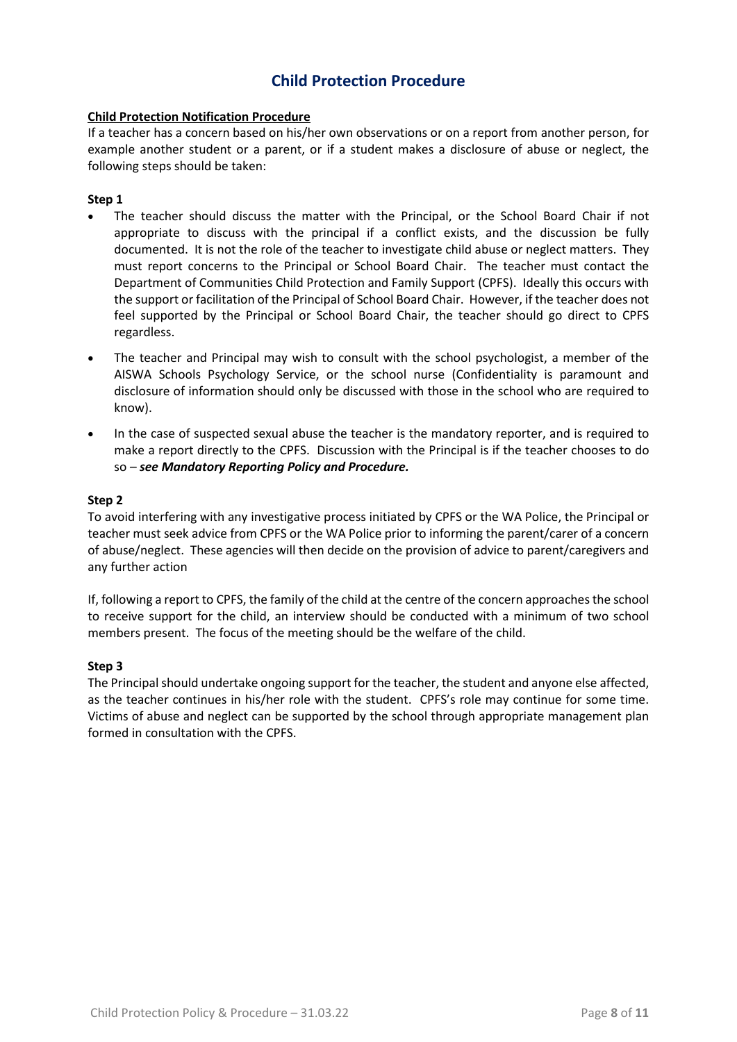# **Child Protection Procedure**

## **Child Protection Notification Procedure**

If a teacher has a concern based on his/her own observations or on a report from another person, for example another student or a parent, or if a student makes a disclosure of abuse or neglect, the following steps should be taken:

#### **Step 1**

- The teacher should discuss the matter with the Principal, or the School Board Chair if not appropriate to discuss with the principal if a conflict exists, and the discussion be fully documented. It is not the role of the teacher to investigate child abuse or neglect matters. They must report concerns to the Principal or School Board Chair. The teacher must contact the Department of Communities Child Protection and Family Support (CPFS). Ideally this occurs with the support or facilitation of the Principal of School Board Chair. However, if the teacher does not feel supported by the Principal or School Board Chair, the teacher should go direct to CPFS regardless.
- The teacher and Principal may wish to consult with the school psychologist, a member of the AISWA Schools Psychology Service, or the school nurse (Confidentiality is paramount and disclosure of information should only be discussed with those in the school who are required to know).
- In the case of suspected sexual abuse the teacher is the mandatory reporter, and is required to make a report directly to the CPFS. Discussion with the Principal is if the teacher chooses to do so – *see Mandatory Reporting Policy and Procedure.*

## **Step 2**

To avoid interfering with any investigative process initiated by CPFS or the WA Police, the Principal or teacher must seek advice from CPFS or the WA Police prior to informing the parent/carer of a concern of abuse/neglect. These agencies will then decide on the provision of advice to parent/caregivers and any further action

If, following a report to CPFS, the family of the child at the centre of the concern approaches the school to receive support for the child, an interview should be conducted with a minimum of two school members present. The focus of the meeting should be the welfare of the child.

#### **Step 3**

The Principal should undertake ongoing support for the teacher, the student and anyone else affected, as the teacher continues in his/her role with the student. CPFS's role may continue for some time. Victims of abuse and neglect can be supported by the school through appropriate management plan formed in consultation with the CPFS.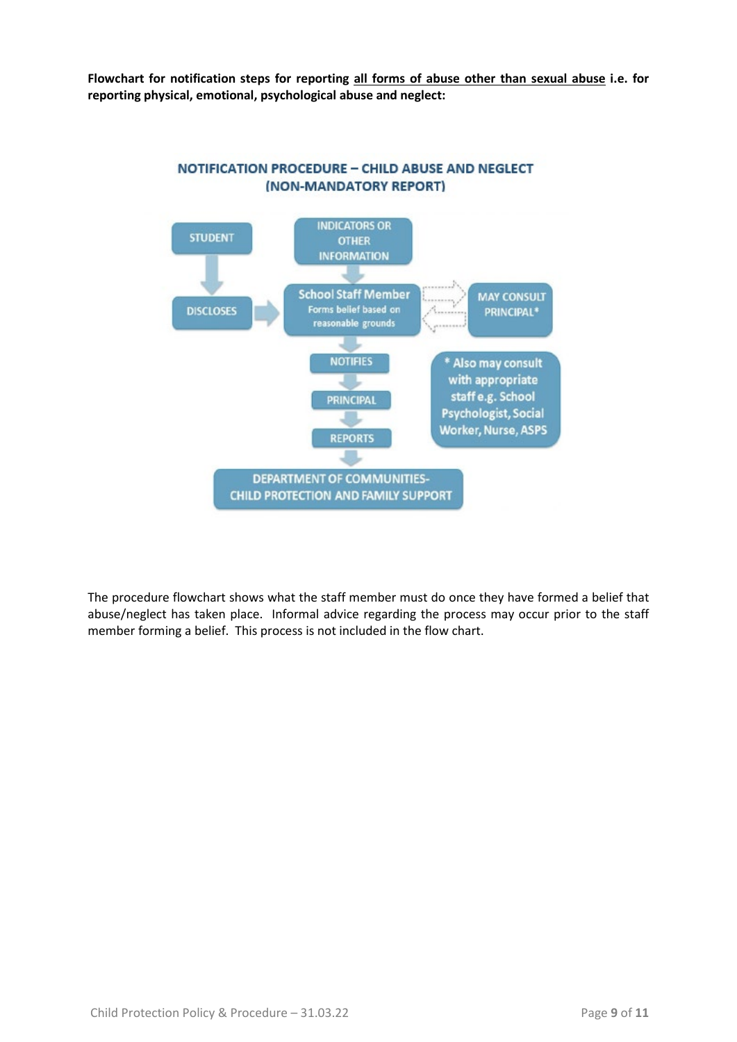**Flowchart for notification steps for reporting all forms of abuse other than sexual abuse i.e. for reporting physical, emotional, psychological abuse and neglect:**



## **NOTIFICATION PROCEDURE - CHILD ABUSE AND NEGLECT** (NON-MANDATORY REPORT)

The procedure flowchart shows what the staff member must do once they have formed a belief that abuse/neglect has taken place. Informal advice regarding the process may occur prior to the staff member forming a belief. This process is not included in the flow chart.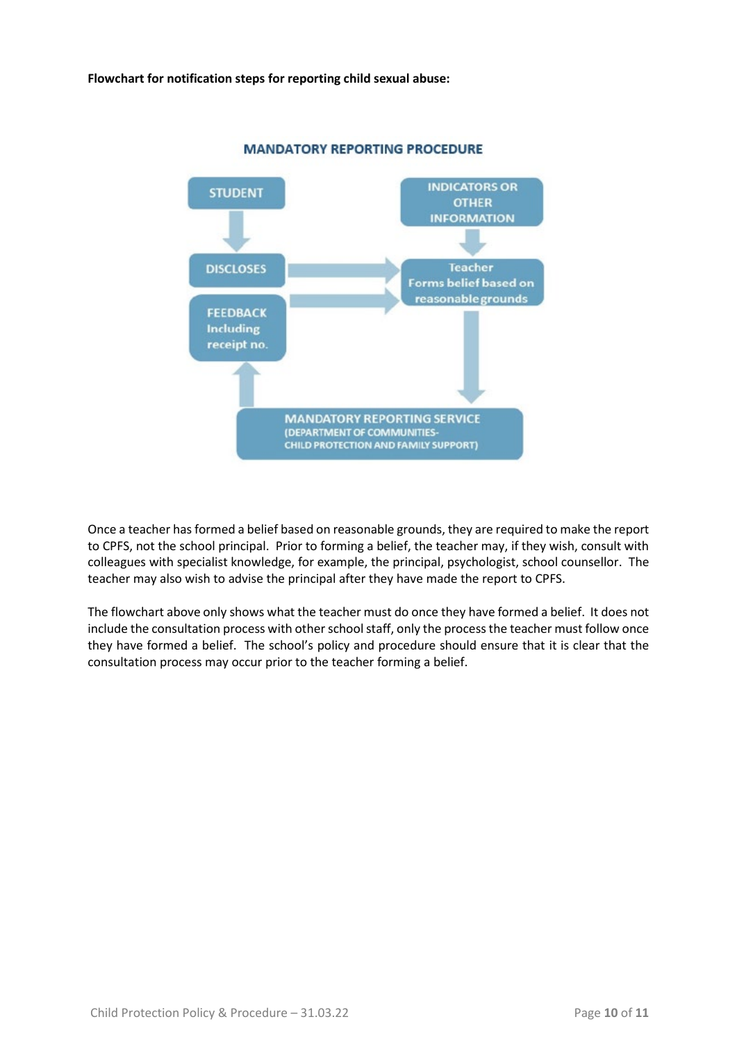

**MANDATORY REPORTING PROCEDURE** 

Once a teacher has formed a belief based on reasonable grounds, they are required to make the report to CPFS, not the school principal. Prior to forming a belief, the teacher may, if they wish, consult with colleagues with specialist knowledge, for example, the principal, psychologist, school counsellor. The teacher may also wish to advise the principal after they have made the report to CPFS.

The flowchart above only shows what the teacher must do once they have formed a belief. It does not include the consultation process with other school staff, only the process the teacher must follow once they have formed a belief. The school's policy and procedure should ensure that it is clear that the consultation process may occur prior to the teacher forming a belief.